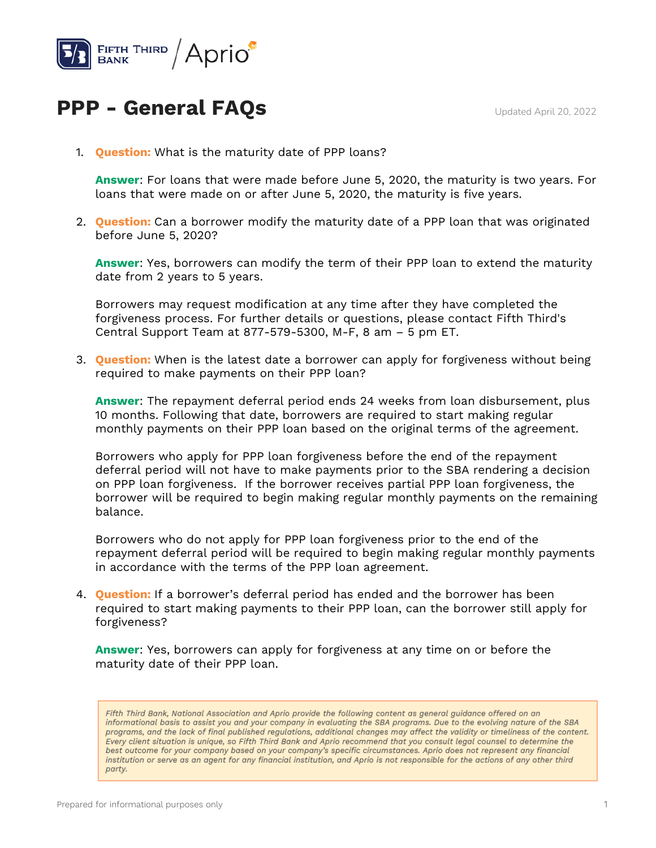

## **PPP - General FAQs** Updated April 20, 2022

1. **Question:** What is the maturity date of PPP loans?

**Answer**: For loans that were made before June 5, 2020, the maturity is two years. For loans that were made on or after June 5, 2020, the maturity is five years.

2. **Question:** Can a borrower modify the maturity date of a PPP loan that was originated before June 5, 2020?

**Answer**: Yes, borrowers can modify the term of their PPP loan to extend the maturity date from 2 years to 5 years.

Borrowers may request modification at any time after they have completed the forgiveness process. For further details or questions, please contact Fifth Third's Central Support Team at 877-579-5300, M-F, 8 am – 5 pm ET.

3. **Question:** When is the latest date a borrower can apply for forgiveness without being required to make payments on their PPP loan?

**Answer**: The repayment deferral period ends 24 weeks from loan disbursement, plus 10 months. Following that date, borrowers are required to start making regular monthly payments on their PPP loan based on the original terms of the agreement.

Borrowers who apply for PPP loan forgiveness before the end of the repayment deferral period will not have to make payments prior to the SBA rendering a decision on PPP loan forgiveness. If the borrower receives partial PPP loan forgiveness, the borrower will be required to begin making regular monthly payments on the remaining balance.

Borrowers who do not apply for PPP loan forgiveness prior to the end of the repayment deferral period will be required to begin making regular monthly payments in accordance with the terms of the PPP loan agreement.

4. **Question:** If a borrower's deferral period has ended and the borrower has been required to start making payments to their PPP loan, can the borrower still apply for forgiveness?

**Answer**: Yes, borrowers can apply for forgiveness at any time on or before the maturity date of their PPP loan.

Fifth Third Bank, National Association and Aprio provide the following content as general guidance offered on an informational basis to assist you and your company in evaluating the SBA programs. Due to the evolving nature of the SBA programs, and the lack of final published regulations, additional changes may affect the validity or timeliness of the content. Every client situation is unique, so Fifth Third Bank and Aprio recommend that you consult legal counsel to determine the best outcome for your company based on your company's specific circumstances. Aprio does not represent any financial institution or serve as an agent for any financial institution, and Aprio is not responsible for the actions of any other third party.